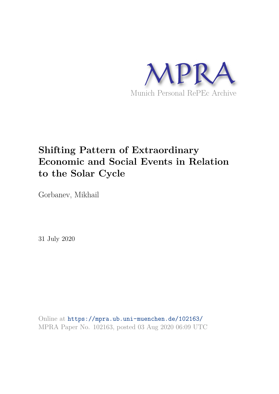

# **Shifting Pattern of Extraordinary Economic and Social Events in Relation to the Solar Cycle**

Gorbanev, Mikhail

31 July 2020

Online at https://mpra.ub.uni-muenchen.de/102163/ MPRA Paper No. 102163, posted 03 Aug 2020 06:09 UTC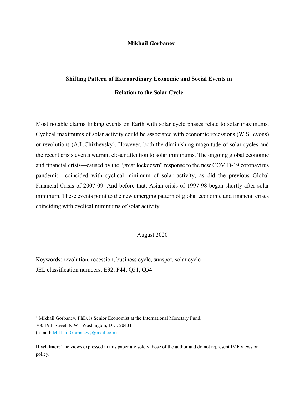### **Mikhail Gorbanev[1](#page-1-0)**

## **Shifting Pattern of Extraordinary Economic and Social Events in Relation to the Solar Cycle**

Most notable claims linking events on Earth with solar cycle phases relate to solar maximums. Cyclical maximums of solar activity could be associated with economic recessions (W.S.Jevons) or revolutions (A.L.Chizhevsky). However, both the diminishing magnitude of solar cycles and the recent crisis events warrant closer attention to solar minimums. The ongoing global economic and financial crisis—caused by the "great lockdown" response to the new COVID-19 coronavirus pandemic—coincided with cyclical minimum of solar activity, as did the previous Global Financial Crisis of 2007-09. And before that, Asian crisis of 1997-98 began shortly after solar minimum. These events point to the new emerging pattern of global economic and financial crises coinciding with cyclical minimums of solar activity.

### August 2020

Keywords: revolution, recession, business cycle, sunspot, solar cycle JEL classification numbers: E32, F44, Q51, Q54

L

<span id="page-1-0"></span><sup>&</sup>lt;sup>1</sup> Mikhail Gorbanev, PhD, is Senior Economist at the International Monetary Fund. 700 19th Street, N.W., Washington, D.C. 20431 (e-mail: Mikhail.Gorbanev@gmail.com)

**Disclaimer**: The views expressed in this paper are solely those of the author and do not represent IMF views or policy.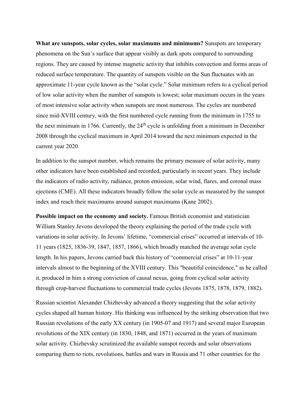**What are sunspots, solar cycles, solar maximums and minimums?** Sunspots are temporary phenomena on the Sun's surface that appear visibly as dark spots compared to surrounding regions. They are caused by intense magnetic activity that inhibits convection and forms areas of reduced surface temperature. The quantity of sunspots visible on the Sun fluctuates with an approximate 11-year cycle known as the "solar cycle." Solar minimum refers to a cyclical period of low solar activity when the number of sunspots is lowest; solar maximum occurs in the years of most intensive solar activity when sunspots are most numerous. The cycles are numbered since mid-XVIII century, with the first numbered cycle running from the minimum in 1755 to the next minimum in 1766. Currently, the  $24<sup>th</sup>$  cycle is unfolding from a minimum in December 2008 through the cyclical maximum in April 2014 toward the next minimum expected in the current year 2020.

In addition to the sunspot number, which remains the primary measure of solar activity, many other indicators have been established and recorded, particularly in recent years. They include the indicators of radio activity, radiance, proton emission, solar wind, flares, and coronal mass ejections (CME). All these indicators broadly follow the solar cycle as measured by the sunspot index and reach their maximums around sunspot maximums (Kane 2002).

**Possible impact on the economy and society.** Famous British economist and statistician William Stanley Jevons developed the theory explaining the period of the trade cycle with variations in solar activity. In Jevons' lifetime, "commercial crises" occurred at intervals of 10- 11 years (1825, 1836-39, 1847, 1857, 1866), which broadly matched the average solar cycle length. In his papers, Jevons carried back this history of "commercial crises" at 10-11-year intervals almost to the beginning of the XVIII century. This "beautiful coincidence," as he called it, produced in him a strong conviction of causal nexus, going from cyclical solar activity through crop-harvest fluctuations to commercial trade cycles (Jevons 1875, 1878, 1879, 1882).

Russian scientist Alexander Chizhevsky advanced a theory suggesting that the solar activity cycles shaped all human history. His thinking was influenced by the striking observation that two Russian revolutions of the early XX century (in 1905-07 and 1917) and several major European revolutions of the XIX century (in 1830, 1848, and 1871) occurred in the years of maximum solar activity. Chizhevsky scrutinized the available sunspot records and solar observations comparing them to riots, revolutions, battles and wars in Russia and 71 other countries for the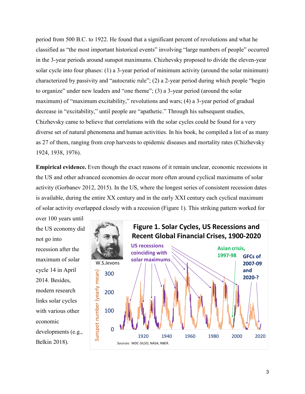period from 500 B.C. to 1922. He found that a significant percent of revolutions and what he classified as "the most important historical events" involving "large numbers of people" occurred in the 3-year periods around sunspot maximums. Chizhevsky proposed to divide the eleven-year solar cycle into four phases: (1) a 3-year period of minimum activity (around the solar minimum) characterized by passivity and "autocratic rule"; (2) a 2-year period during which people "begin to organize" under new leaders and "one theme"; (3) a 3-year period (around the solar maximum) of "maximum excitability," revolutions and wars; (4) a 3-year period of gradual decrease in "excitability," until people are "apathetic." Through his subsequent studies, Chizhevsky came to believe that correlations with the solar cycles could be found for a very diverse set of natural phenomena and human activities. In his book, he compiled a list of as many as 27 of them, ranging from crop harvests to epidemic diseases and mortality rates (Chizhevsky 1924, 1938, 1976).

**Empirical evidence.** Even though the exact reasons of it remain unclear, economic recessions in the US and other advanced economies do occur more often around cyclical maximums of solar activity (Gorbanev 2012, 2015). In the US, where the longest series of consistent recession dates is available, during the entire XX century and in the early XXI century each cyclical maximum of solar activity overlapped closely with a recession (Figure 1). This striking pattern worked for

over 100 years until the US economy did not go into recession after the maximum of solar cycle 14 in April 2014. Besides, modern research links solar cycles with various other economic developments (e.g., Belkin 2018).

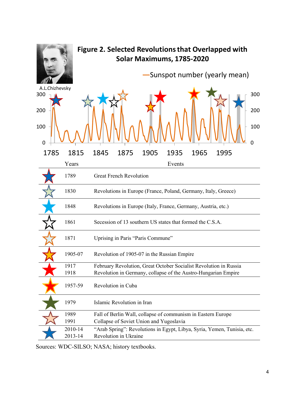

Sources: WDC-SILSO; NASA; history textbooks.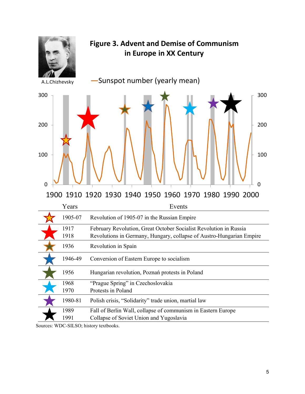

Sources: WDC-SILSO; history textbooks.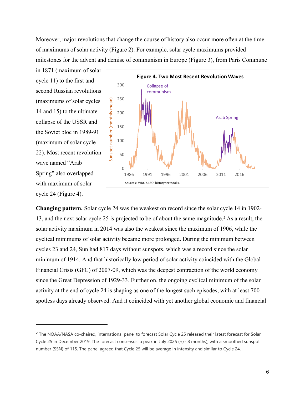Moreover, major revolutions that change the course of history also occur more often at the time of maximums of solar activity (Figure 2). For example, solar cycle maximums provided milestones for the advent and demise of communism in Europe (Figure 3), from Paris Commune

in 1871 (maximum of solar cycle 11) to the first and second Russian revolutions (maximums of solar cycles 14 and 15) to the ultimate collapse of the USSR and the Soviet bloc in 1989-91 (maximum of solar cycle 22). Most recent revolution wave named "Arab Spring" also overlapped with maximum of solar cycle 24 (Figure 4).

L



**Changing pattern.** Solar cycle 24 was the weakest on record since the solar cycle 14 in 1902- 13, and the next solar cycle 25 is projected to be of about the same magnitude. [2](#page-6-0) As a result, the solar activity maximum in 2014 was also the weakest since the maximum of 1906, while the cyclical minimums of solar activity became more prolonged. During the minimum between cycles 23 and 24, Sun had 817 days without sunspots, which was a record since the solar minimum of 1914. And that historically low period of solar activity coincided with the Global Financial Crisis (GFC) of 2007-09, which was the deepest contraction of the world economy since the Great Depression of 1929-33. Further on, the ongoing cyclical minimum of the solar activity at the end of cycle 24 is shaping as one of the longest such episodes, with at least 700 spotless days already observed. And it coincided with yet another global economic and financial

<span id="page-6-0"></span><sup>2</sup> The NOAA/NASA co-chaired, international panel to forecast Solar Cycle 25 released their latest forecast for Solar Cycle 25 in December 2019. The forecast consensus: a peak in July 2025 (+/- 8 months), with a smoothed sunspot number (SSN) of 115. The panel agreed that Cycle 25 will be average in intensity and similar to Cycle 24.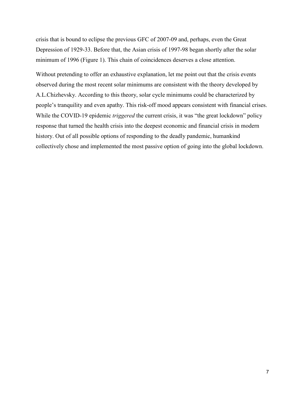crisis that is bound to eclipse the previous GFC of 2007-09 and, perhaps, even the Great Depression of 1929-33. Before that, the Asian crisis of 1997-98 began shortly after the solar minimum of 1996 (Figure 1). This chain of coincidences deserves a close attention.

Without pretending to offer an exhaustive explanation, let me point out that the crisis events observed during the most recent solar minimums are consistent with the theory developed by A.L.Chizhevsky. According to this theory, solar cycle minimums could be characterized by people's tranquility and even apathy. This risk-off mood appears consistent with financial crises. While the COVID-19 epidemic *triggered* the current crisis, it was "the great lockdown" policy response that turned the health crisis into the deepest economic and financial crisis in modern history. Out of all possible options of responding to the deadly pandemic, humankind collectively chose and implemented the most passive option of going into the global lockdown.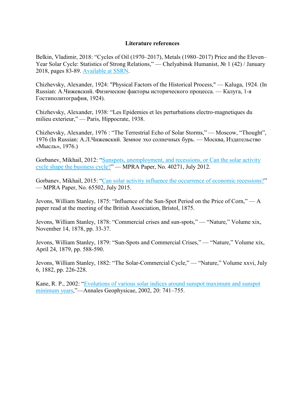### **Literature references**

Belkin, Vladimir, 2018: "Cycles of Oil (1970–2017), Metals (1980–2017) Price and the Eleven– Year Solar Cycle: Statistics of Strong Relations," — Chelyabinsk Humanist, № 1 (42) / January 2018, pages 83-89. Available at SSRN.

Chizhevsky, Alexander, 1924: "Physical Factors of the Historical Process," — Kaluga, 1924. (In Russian: А.Чижевский. Физические факторы исторического процесса. — Калуга, 1-я Гостиполитография, 1924).

Chizhevsky, Alexander, 1938: "Les Epidemies et les perturbations electro-magnetiques du milieu exterieur," — Paris, Hippocrate, 1938.

Chizhevsky, Alexander, 1976 : "The Terrestrial Echo of Solar Storms," — Moscow, "Thought", 1976 (In Russian: А.Л.Чижевский. Земное эхо солнечных бурь. — Москва, Издательство «Мысль», 1976.)

Gorbanev, Mikhail, 2012: "Sunspots, unemployment, and recessions, or Can the solar activity cycle shape the business cycle?" — MPRA Paper, No. 40271, July 2012.

Gorbanev, Mikhail, 2015: "Can solar activity influence the occurrence of economic recessions?" — MPRA Paper, No. 65502, July 2015.

Jevons, William Stanley, 1875: "Influence of the Sun-Spot Period on the Price of Corn," — A paper read at the meeting of the British Association, Bristol, 1875.

Jevons, William Stanley, 1878: "Commercial crises and sun-spots," — "Nature," Volume xix, November 14, 1878, pp. 33-37.

Jevons, William Stanley, 1879: "Sun-Spots and Commercial Crises," — "Nature," Volume xix, April 24, 1879, pp. 588-590.

Jevons, William Stanley, 1882: "The Solar-Commercial Cycle," — "Nature," Volume xxvi, July 6, 1882, pp. 226-228.

Kane, R. P., 2002: "Evolutions of various solar indices around sunspot maximum and sunspot minimum years,"—Annales Geophysicae, 2002, 20: 741–755.